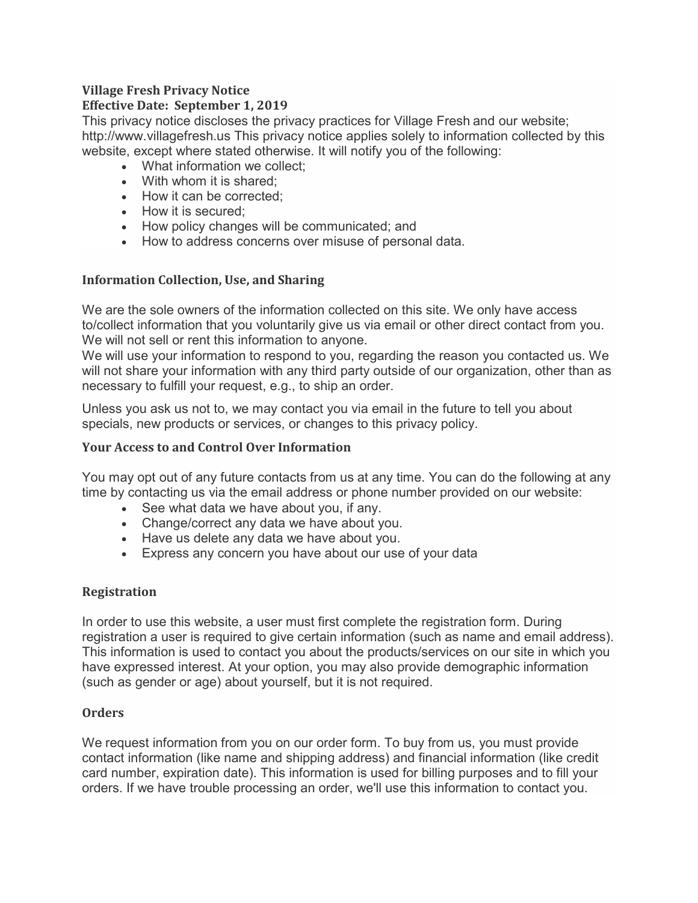#### **Village Fresh Privacy Notice Effective Date: September 1, 2019**

This privacy notice discloses the privacy practices for Village Fresh and our website; http://www.villagefresh.us This privacy notice applies solely to information collected by this website, except where stated otherwise. It will notify you of the following:

- What information we collect:
- With whom it is shared;
- How it can be corrected:
- How it is secured;
- How policy changes will be communicated; and
- How to address concerns over misuse of personal data.

# **Information Collection, Use, and Sharing**

We are the sole owners of the information collected on this site. We only have access to/collect information that you voluntarily give us via email or other direct contact from you. We will not sell or rent this information to anyone.

We will use your information to respond to you, regarding the reason you contacted us. We will not share your information with any third party outside of our organization, other than as necessary to fulfill your request, e.g., to ship an order.

Unless you ask us not to, we may contact you via email in the future to tell you about specials, new products or services, or changes to this privacy policy.

# **Your Access to and Control Over Information**

You may opt out of any future contacts from us at any time. You can do the following at any time by contacting us via the email address or phone number provided on our website:

- See what data we have about you, if any.
- Change/correct any data we have about you.
- Have us delete any data we have about you.
- Express any concern you have about our use of your data

# **Registration**

In order to use this website, a user must first complete the registration form. During registration a user is required to give certain information (such as name and email address). This information is used to contact you about the products/services on our site in which you have expressed interest. At your option, you may also provide demographic information (such as gender or age) about yourself, but it is not required.

# **Orders**

We request information from you on our order form. To buy from us, you must provide contact information (like name and shipping address) and financial information (like credit card number, expiration date). This information is used for billing purposes and to fill your orders. If we have trouble processing an order, we'll use this information to contact you.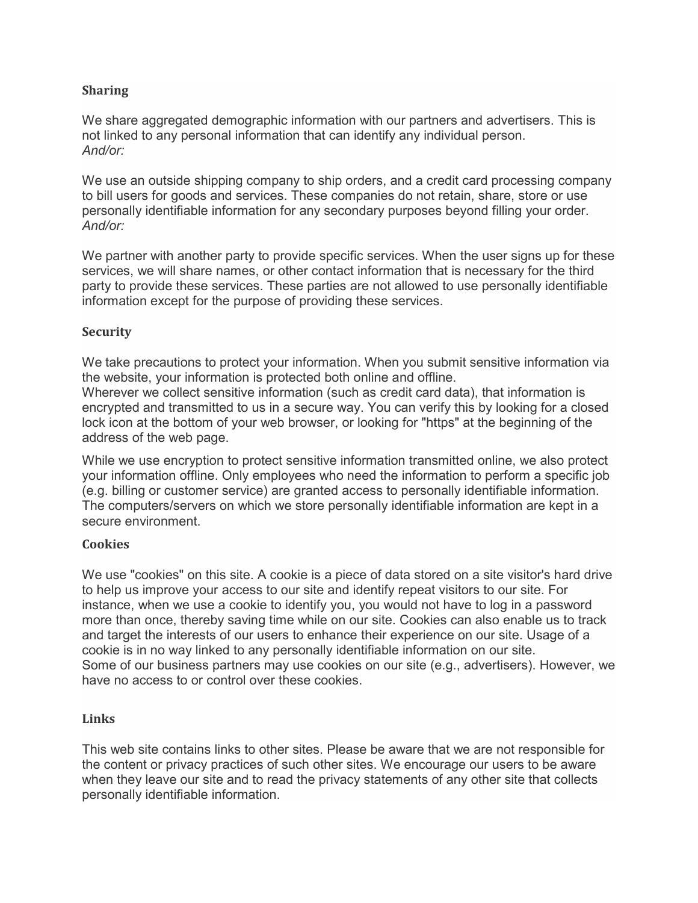## **Sharing**

We share aggregated demographic information with our partners and advertisers. This is not linked to any personal information that can identify any individual person. *And/or:*

We use an outside shipping company to ship orders, and a credit card processing company to bill users for goods and services. These companies do not retain, share, store or use personally identifiable information for any secondary purposes beyond filling your order. *And/or:*

We partner with another party to provide specific services. When the user signs up for these services, we will share names, or other contact information that is necessary for the third party to provide these services. These parties are not allowed to use personally identifiable information except for the purpose of providing these services.

## **Security**

We take precautions to protect your information. When you submit sensitive information via the website, your information is protected both online and offline.

Wherever we collect sensitive information (such as credit card data), that information is encrypted and transmitted to us in a secure way. You can verify this by looking for a closed lock icon at the bottom of your web browser, or looking for "https" at the beginning of the address of the web page.

While we use encryption to protect sensitive information transmitted online, we also protect your information offline. Only employees who need the information to perform a specific job (e.g. billing or customer service) are granted access to personally identifiable information. The computers/servers on which we store personally identifiable information are kept in a secure environment.

## **Cookies**

We use "cookies" on this site. A cookie is a piece of data stored on a site visitor's hard drive to help us improve your access to our site and identify repeat visitors to our site. For instance, when we use a cookie to identify you, you would not have to log in a password more than once, thereby saving time while on our site. Cookies can also enable us to track and target the interests of our users to enhance their experience on our site. Usage of a cookie is in no way linked to any personally identifiable information on our site. Some of our business partners may use cookies on our site (e.g., advertisers). However, we have no access to or control over these cookies.

## **Links**

This web site contains links to other sites. Please be aware that we are not responsible for the content or privacy practices of such other sites. We encourage our users to be aware when they leave our site and to read the privacy statements of any other site that collects personally identifiable information.